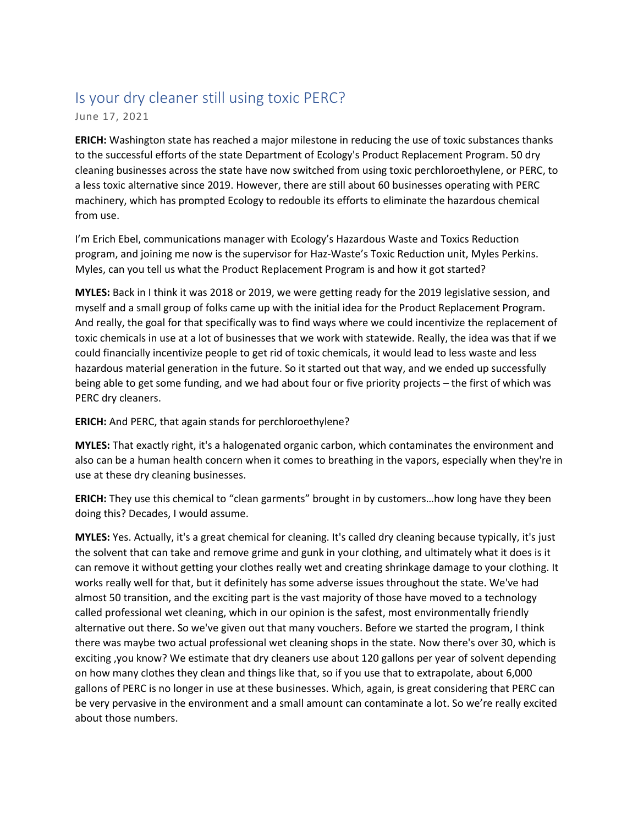## Is your dry cleaner still using toxic PERC?

June 17, 2021

**ERICH:** Washington state has reached a major milestone in reducing the use of toxic substances thanks to the successful efforts of the state Department of Ecology's Product Replacement Program. 50 dry cleaning businesses across the state have now switched from using toxic perchloroethylene, or PERC, to a less toxic alternative since 2019. However, there are still about 60 businesses operating with PERC machinery, which has prompted Ecology to redouble its efforts to eliminate the hazardous chemical from use.

I'm Erich Ebel, communications manager with Ecology's Hazardous Waste and Toxics Reduction program, and joining me now is the supervisor for Haz-Waste's Toxic Reduction unit, Myles Perkins. Myles, can you tell us what the Product Replacement Program is and how it got started?

**MYLES:** Back in I think it was 2018 or 2019, we were getting ready for the 2019 legislative session, and myself and a small group of folks came up with the initial idea for the Product Replacement Program. And really, the goal for that specifically was to find ways where we could incentivize the replacement of toxic chemicals in use at a lot of businesses that we work with statewide. Really, the idea was that if we could financially incentivize people to get rid of toxic chemicals, it would lead to less waste and less hazardous material generation in the future. So it started out that way, and we ended up successfully being able to get some funding, and we had about four or five priority projects – the first of which was PERC dry cleaners.

**ERICH:** And PERC, that again stands for perchloroethylene?

**MYLES:** That exactly right, it's a halogenated organic carbon, which contaminates the environment and also can be a human health concern when it comes to breathing in the vapors, especially when they're in use at these dry cleaning businesses.

**ERICH:** They use this chemical to "clean garments" brought in by customers…how long have they been doing this? Decades, I would assume.

**MYLES:** Yes. Actually, it's a great chemical for cleaning. It's called dry cleaning because typically, it's just the solvent that can take and remove grime and gunk in your clothing, and ultimately what it does is it can remove it without getting your clothes really wet and creating shrinkage damage to your clothing. It works really well for that, but it definitely has some adverse issues throughout the state. We've had almost 50 transition, and the exciting part is the vast majority of those have moved to a technology called professional wet cleaning, which in our opinion is the safest, most environmentally friendly alternative out there. So we've given out that many vouchers. Before we started the program, I think there was maybe two actual professional wet cleaning shops in the state. Now there's over 30, which is exciting ,you know? We estimate that dry cleaners use about 120 gallons per year of solvent depending on how many clothes they clean and things like that, so if you use that to extrapolate, about 6,000 gallons of PERC is no longer in use at these businesses. Which, again, is great considering that PERC can be very pervasive in the environment and a small amount can contaminate a lot. So we're really excited about those numbers.